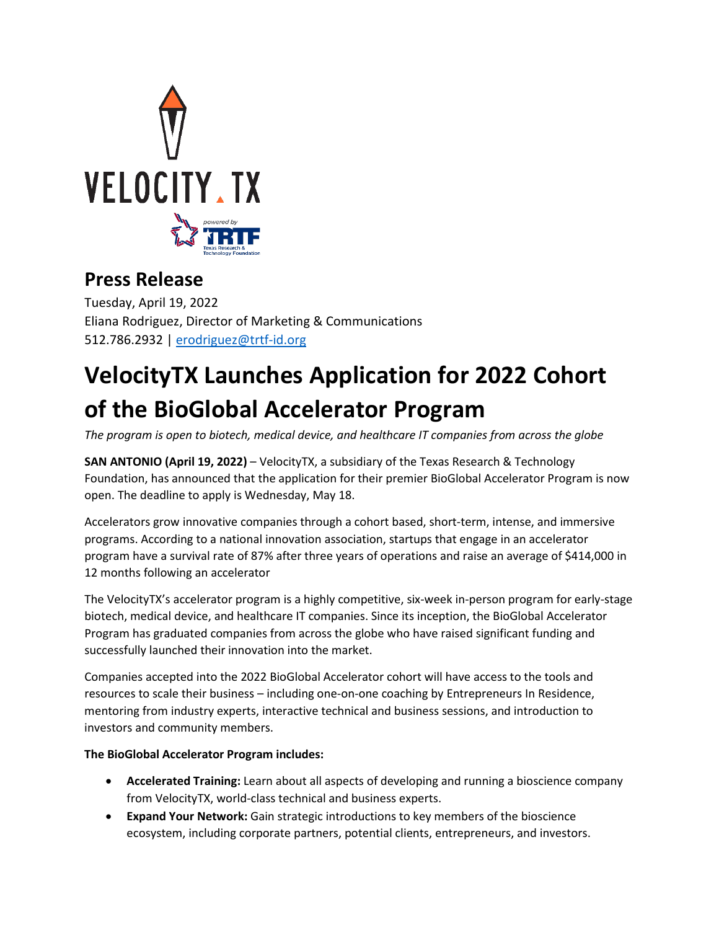

## **Press Release**

Tuesday, April 19, 2022 Eliana Rodriguez, Director of Marketing & Communications 512.786.2932 | [erodriguez@trtf-id.org](mailto:erodriguez@trtf-id.org)

## **VelocityTX Launches Application for 2022 Cohort of the BioGlobal Accelerator Program**

*The program is open to biotech, medical device, and healthcare IT companies from across the globe*

**SAN ANTONIO (April 19, 2022)** – VelocityTX, a subsidiary of the Texas Research & Technology Foundation, has announced that the application for their premier BioGlobal Accelerator Program is now open. The deadline to apply is Wednesday, May 18.

Accelerators grow innovative companies through a cohort based, short-term, intense, and immersive programs. According to a national innovation association, startups that engage in an accelerator program have a survival rate of 87% after three years of operations and raise an average of \$414,000 in 12 months following an accelerator

The VelocityTX's accelerator program is a highly competitive, six-week in-person program for early-stage biotech, medical device, and healthcare IT companies. Since its inception, the BioGlobal Accelerator Program has graduated companies from across the globe who have raised significant funding and successfully launched their innovation into the market.

Companies accepted into the 2022 BioGlobal Accelerator cohort will have access to the tools and resources to scale their business – including one-on-one coaching by Entrepreneurs In Residence, mentoring from industry experts, interactive technical and business sessions, and introduction to investors and community members.

## **The BioGlobal Accelerator Program includes:**

- **Accelerated Training:** Learn about all aspects of developing and running a bioscience company from VelocityTX, world-class technical and business experts.
- **Expand Your Network:** Gain strategic introductions to key members of the bioscience ecosystem, including corporate partners, potential clients, entrepreneurs, and investors.